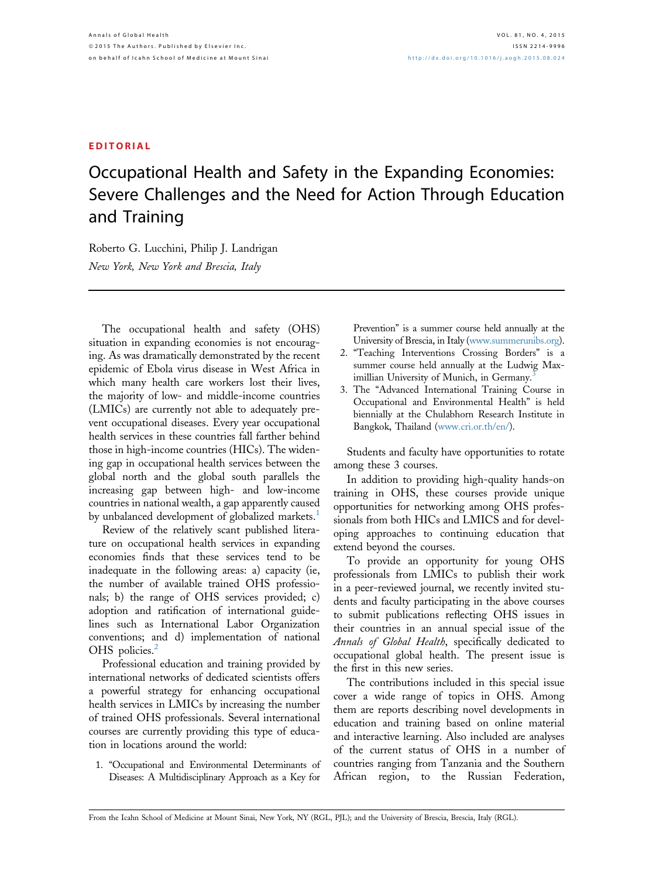## EDITORIAL

## Occupational Health and Safety in the Expanding Economies: Severe Challenges and the Need for Action Through Education and Training

Roberto G. Lucchini, Philip J. Landrigan New York, New York and Brescia, Italy

The occupational health and safety (OHS) situation in expanding economies is not encouraging. As was dramatically demonstrated by the recent epidemic of Ebola virus disease in West Africa in which many health care workers lost their lives, the majority of low- and middle-income countries (LMICs) are currently not able to adequately prevent occupational diseases. Every year occupational health services in these countries fall farther behind those in high-income countries (HICs). The widening gap in occupational health services between the global north and the global south parallels the increasing gap between high- and low-income countries in national wealth, a gap apparently caused by unbalanced development of globalized markets.<sup>[1](#page-1-0)</sup>

Review of the relatively scant published literature on occupational health services in expanding economies finds that these services tend to be inadequate in the following areas: a) capacity (ie, the number of available trained OHS professionals; b) the range of OHS services provided; c) adoption and ratification of international guidelines such as International Labor Organization conventions; and d) implementation of national OHS policies.<sup>[2](#page-1-0)</sup>

Professional education and training provided by international networks of dedicated scientists offers a powerful strategy for enhancing occupational health services in LMICs by increasing the number of trained OHS professionals. Several international courses are currently providing this type of education in locations around the world:

1. "Occupational and Environmental Determinants of Diseases: A Multidisciplinary Approach as a Key for Prevention" is a summer course held annually at the University of Brescia, in Italy ([www.summerunibs.org\)](http://www.summerunibs.org).

- 2. "Teaching Interventions Crossing Borders" is a summer course held annually at the Ludwig Max-imillian University of Munich, in Germany.<sup>[3](#page-1-0)</sup>
- 3. The "Advanced International Training Course in Occupational and Environmental Health" is held biennially at the Chulabhorn Research Institute in Bangkok, Thailand ([www.cri.or.th/en/](http://www.cri.or.th/en/)).

Students and faculty have opportunities to rotate among these 3 courses.

In addition to providing high-quality hands-on training in OHS, these courses provide unique opportunities for networking among OHS professionals from both HICs and LMICS and for developing approaches to continuing education that extend beyond the courses.

To provide an opportunity for young OHS professionals from LMICs to publish their work in a peer-reviewed journal, we recently invited students and faculty participating in the above courses to submit publications reflecting OHS issues in their countries in an annual special issue of the Annals of Global Health, specifically dedicated to occupational global health. The present issue is the first in this new series.

The contributions included in this special issue cover a wide range of topics in OHS. Among them are reports describing novel developments in education and training based on online material and interactive learning. Also included are analyses of the current status of OHS in a number of countries ranging from Tanzania and the Southern African region, to the Russian Federation,

From the Icahn School of Medicine at Mount Sinai, New York, NY (RGL, PJL); and the University of Brescia, Brescia, Italy (RGL).